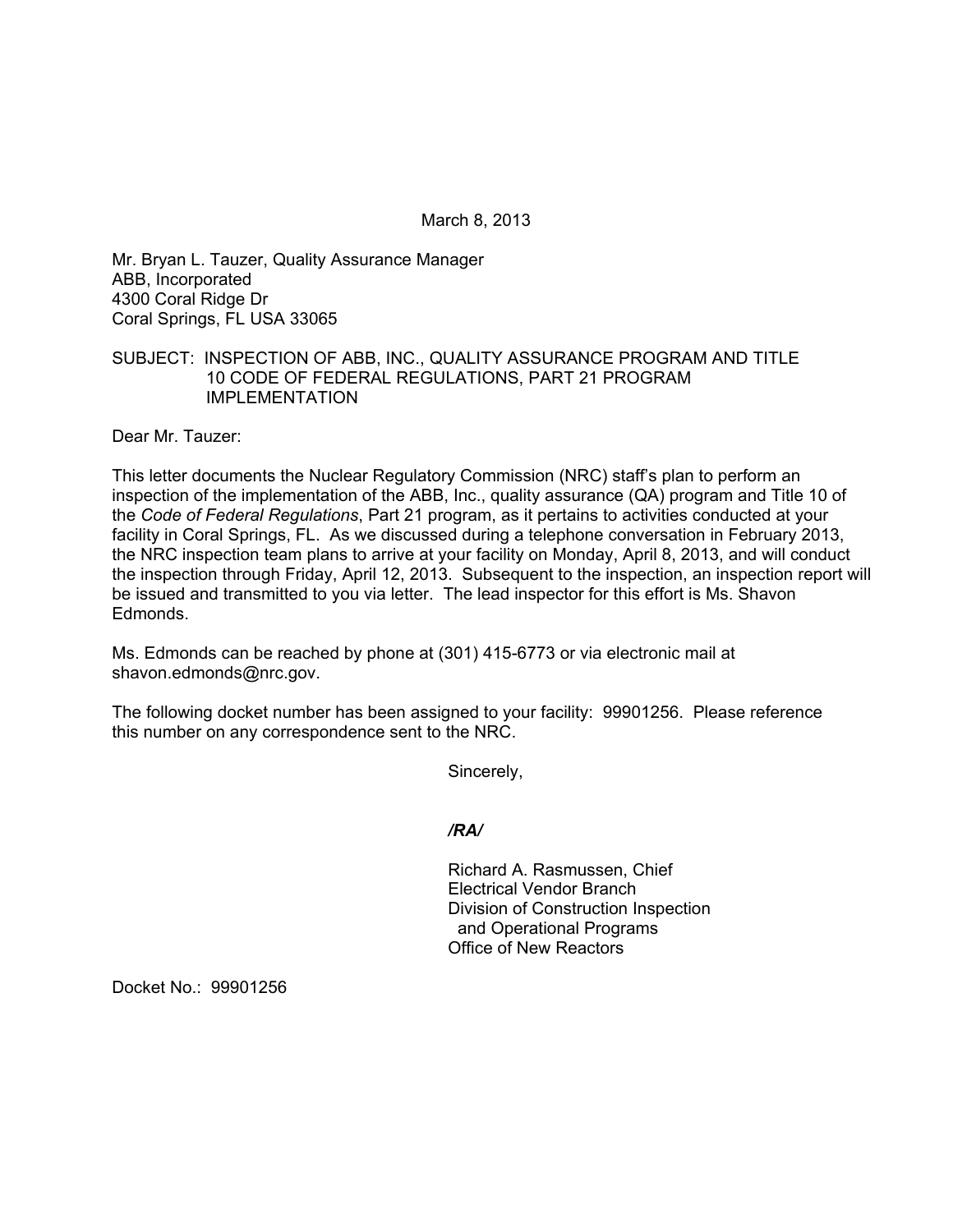March 8, 2013

Mr. Bryan L. Tauzer, Quality Assurance Manager ABB, Incorporated 4300 Coral Ridge Dr Coral Springs, FL USA 33065

## SUBJECT: INSPECTION OF ABB, INC., QUALITY ASSURANCE PROGRAM AND TITLE 10 CODE OF FEDERAL REGULATIONS, PART 21 PROGRAM IMPLEMENTATION

Dear Mr. Tauzer:

This letter documents the Nuclear Regulatory Commission (NRC) staff's plan to perform an inspection of the implementation of the ABB, Inc., quality assurance (QA) program and Title 10 of the *Code of Federal Regulations*, Part 21 program, as it pertains to activities conducted at your facility in Coral Springs, FL. As we discussed during a telephone conversation in February 2013, the NRC inspection team plans to arrive at your facility on Monday, April 8, 2013, and will conduct the inspection through Friday, April 12, 2013. Subsequent to the inspection, an inspection report will be issued and transmitted to you via letter. The lead inspector for this effort is Ms. Shavon Edmonds.

Ms. Edmonds can be reached by phone at (301) 415-6773 or via electronic mail at shavon.edmonds@nrc.gov.

The following docket number has been assigned to your facility: 99901256. Please reference this number on any correspondence sent to the NRC.

Sincerely,

*/RA/* 

Richard A. Rasmussen, Chief Electrical Vendor Branch Division of Construction Inspection and Operational Programs Office of New Reactors

Docket No.: 99901256